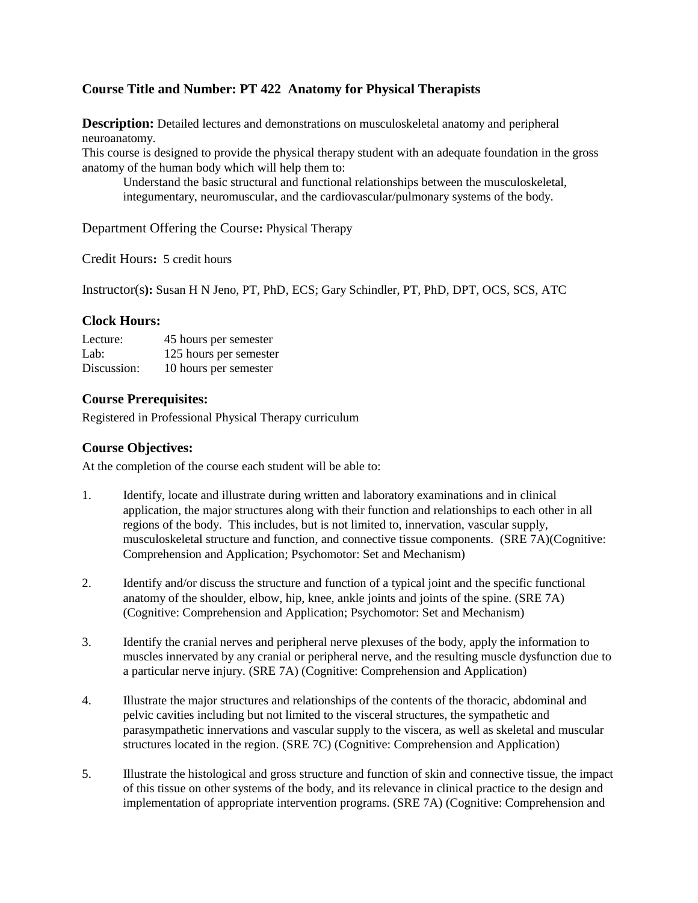## **Course Title and Number: PT 422 Anatomy for Physical Therapists**

**Description:** Detailed lectures and demonstrations on musculoskeletal anatomy and peripheral neuroanatomy.

This course is designed to provide the physical therapy student with an adequate foundation in the gross anatomy of the human body which will help them to:

Understand the basic structural and functional relationships between the musculoskeletal, integumentary, neuromuscular, and the cardiovascular/pulmonary systems of the body.

Department Offering the Course**:** Physical Therapy

Credit Hours**:** 5 credit hours

Instructor(s**):** Susan H N Jeno, PT, PhD, ECS; Gary Schindler, PT, PhD, DPT, OCS, SCS, ATC

#### **Clock Hours:**

| Lecture:    | 45 hours per semester  |
|-------------|------------------------|
| Lab:        | 125 hours per semester |
| Discussion: | 10 hours per semester  |

### **Course Prerequisites:**

Registered in Professional Physical Therapy curriculum

### **Course Objectives:**

At the completion of the course each student will be able to:

- 1. Identify, locate and illustrate during written and laboratory examinations and in clinical application, the major structures along with their function and relationships to each other in all regions of the body. This includes, but is not limited to, innervation, vascular supply, musculoskeletal structure and function, and connective tissue components. (SRE 7A)(Cognitive: Comprehension and Application; Psychomotor: Set and Mechanism)
- 2. Identify and/or discuss the structure and function of a typical joint and the specific functional anatomy of the shoulder, elbow, hip, knee, ankle joints and joints of the spine. (SRE 7A) (Cognitive: Comprehension and Application; Psychomotor: Set and Mechanism)
- 3. Identify the cranial nerves and peripheral nerve plexuses of the body, apply the information to muscles innervated by any cranial or peripheral nerve, and the resulting muscle dysfunction due to a particular nerve injury. (SRE 7A) (Cognitive: Comprehension and Application)
- 4. Illustrate the major structures and relationships of the contents of the thoracic, abdominal and pelvic cavities including but not limited to the visceral structures, the sympathetic and parasympathetic innervations and vascular supply to the viscera, as well as skeletal and muscular structures located in the region. (SRE 7C) (Cognitive: Comprehension and Application)
- 5. Illustrate the histological and gross structure and function of skin and connective tissue, the impact of this tissue on other systems of the body, and its relevance in clinical practice to the design and implementation of appropriate intervention programs. (SRE 7A) (Cognitive: Comprehension and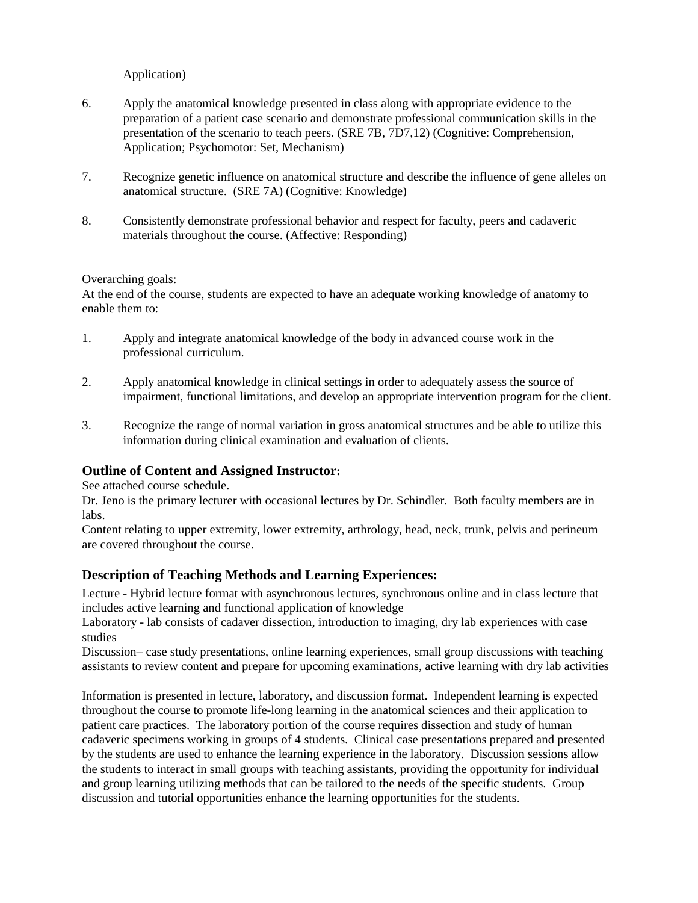Application)

- 6. Apply the anatomical knowledge presented in class along with appropriate evidence to the preparation of a patient case scenario and demonstrate professional communication skills in the presentation of the scenario to teach peers. (SRE 7B, 7D7,12) (Cognitive: Comprehension, Application; Psychomotor: Set, Mechanism)
- 7. Recognize genetic influence on anatomical structure and describe the influence of gene alleles on anatomical structure. (SRE 7A) (Cognitive: Knowledge)
- 8. Consistently demonstrate professional behavior and respect for faculty, peers and cadaveric materials throughout the course. (Affective: Responding)

#### Overarching goals:

At the end of the course, students are expected to have an adequate working knowledge of anatomy to enable them to:

- 1. Apply and integrate anatomical knowledge of the body in advanced course work in the professional curriculum.
- 2. Apply anatomical knowledge in clinical settings in order to adequately assess the source of impairment, functional limitations, and develop an appropriate intervention program for the client.
- 3. Recognize the range of normal variation in gross anatomical structures and be able to utilize this information during clinical examination and evaluation of clients.

#### **Outline of Content and Assigned Instructor:**

See attached course schedule.

Dr. Jeno is the primary lecturer with occasional lectures by Dr. Schindler. Both faculty members are in labs.

Content relating to upper extremity, lower extremity, arthrology, head, neck, trunk, pelvis and perineum are covered throughout the course.

#### **Description of Teaching Methods and Learning Experiences:**

Lecture - Hybrid lecture format with asynchronous lectures, synchronous online and in class lecture that includes active learning and functional application of knowledge

Laboratory - lab consists of cadaver dissection, introduction to imaging, dry lab experiences with case studies

Discussion– case study presentations, online learning experiences, small group discussions with teaching assistants to review content and prepare for upcoming examinations, active learning with dry lab activities

Information is presented in lecture, laboratory, and discussion format. Independent learning is expected throughout the course to promote life-long learning in the anatomical sciences and their application to patient care practices. The laboratory portion of the course requires dissection and study of human cadaveric specimens working in groups of 4 students. Clinical case presentations prepared and presented by the students are used to enhance the learning experience in the laboratory. Discussion sessions allow the students to interact in small groups with teaching assistants, providing the opportunity for individual and group learning utilizing methods that can be tailored to the needs of the specific students. Group discussion and tutorial opportunities enhance the learning opportunities for the students.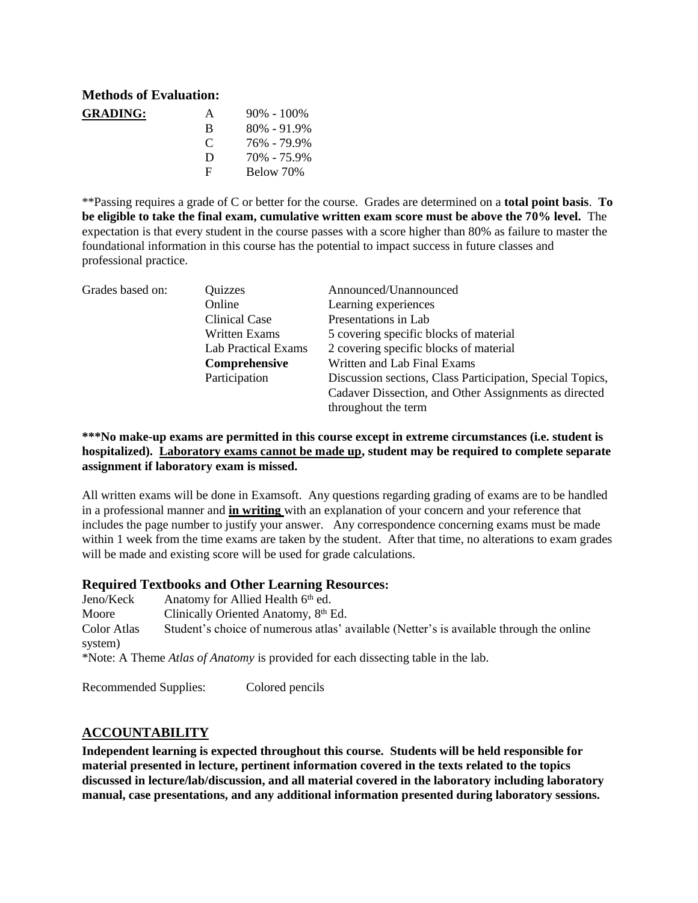### **Methods of Evaluation:**

| <b>GRADING:</b> | A             | $90\% - 100\%$  |
|-----------------|---------------|-----------------|
|                 | R             | $80\% - 91.9\%$ |
|                 | $\mathcal{C}$ | 76% - 79.9%     |
|                 | D             | 70% - 75.9%     |
|                 | E             | Below 70%       |

\*\*Passing requires a grade of C or better for the course. Grades are determined on a **total point basis**. **To be eligible to take the final exam, cumulative written exam score must be above the 70% level.** The expectation is that every student in the course passes with a score higher than 80% as failure to master the foundational information in this course has the potential to impact success in future classes and professional practice.

| Grades based on: | Quizzes                    | Announced/Unannounced                                     |
|------------------|----------------------------|-----------------------------------------------------------|
|                  | Online                     | Learning experiences                                      |
|                  | Clinical Case              | Presentations in Lab                                      |
|                  | Written Exams              | 5 covering specific blocks of material                    |
|                  | <b>Lab Practical Exams</b> | 2 covering specific blocks of material                    |
|                  | Comprehensive              | Written and Lab Final Exams                               |
|                  | Participation              | Discussion sections, Class Participation, Special Topics, |
|                  |                            | Cadaver Dissection, and Other Assignments as directed     |
|                  |                            | throughout the term                                       |

#### **\*\*\*No make-up exams are permitted in this course except in extreme circumstances (i.e. student is hospitalized). Laboratory exams cannot be made up, student may be required to complete separate assignment if laboratory exam is missed.**

All written exams will be done in Examsoft. Any questions regarding grading of exams are to be handled in a professional manner and **in writing** with an explanation of your concern and your reference that includes the page number to justify your answer. Any correspondence concerning exams must be made within 1 week from the time exams are taken by the student. After that time, no alterations to exam grades will be made and existing score will be used for grade calculations.

#### **Required Textbooks and Other Learning Resources:**

Jeno/Keck Anatomy for Allied Health 6<sup>th</sup> ed. Moore Clinically Oriented Anatomy, 8<sup>th</sup> Ed. Color Atlas Student's choice of numerous atlas' available (Netter's is available through the online system) \*Note: A Theme *Atlas of Anatomy* is provided for each dissecting table in the lab.

Recommended Supplies: Colored pencils

#### **ACCOUNTABILITY**

**Independent learning is expected throughout this course. Students will be held responsible for material presented in lecture, pertinent information covered in the texts related to the topics discussed in lecture/lab/discussion, and all material covered in the laboratory including laboratory manual, case presentations, and any additional information presented during laboratory sessions.**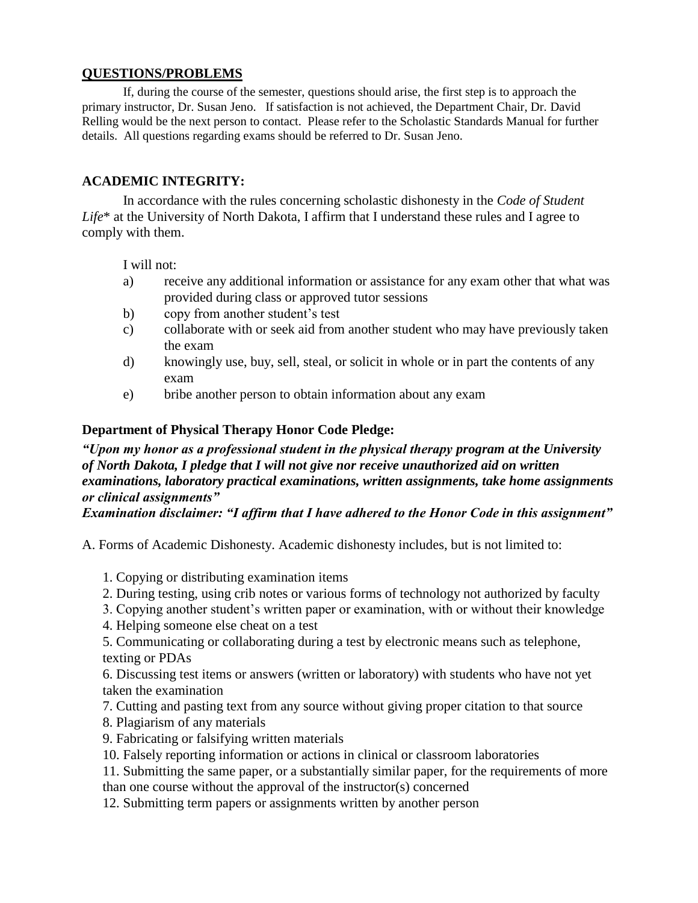### **QUESTIONS/PROBLEMS**

If, during the course of the semester, questions should arise, the first step is to approach the primary instructor, Dr. Susan Jeno. If satisfaction is not achieved, the Department Chair, Dr. David Relling would be the next person to contact. Please refer to the Scholastic Standards Manual for further details. All questions regarding exams should be referred to Dr. Susan Jeno.

## **ACADEMIC INTEGRITY:**

In accordance with the rules concerning scholastic dishonesty in the *Code of Student Life*\* at the University of North Dakota, I affirm that I understand these rules and I agree to comply with them.

#### I will not:

- a) receive any additional information or assistance for any exam other that what was provided during class or approved tutor sessions
- b) copy from another student's test
- c) collaborate with or seek aid from another student who may have previously taken the exam
- d) knowingly use, buy, sell, steal, or solicit in whole or in part the contents of any exam
- e) bribe another person to obtain information about any exam

#### **Department of Physical Therapy Honor Code Pledge:**

*"Upon my honor as a professional student in the physical therapy program at the University of North Dakota, I pledge that I will not give nor receive unauthorized aid on written examinations, laboratory practical examinations, written assignments, take home assignments or clinical assignments"* 

*Examination disclaimer: "I affirm that I have adhered to the Honor Code in this assignment"* 

A. Forms of Academic Dishonesty. Academic dishonesty includes, but is not limited to:

#### 1. Copying or distributing examination items

- 2. During testing, using crib notes or various forms of technology not authorized by faculty
- 3. Copying another student's written paper or examination, with or without their knowledge
- 4. Helping someone else cheat on a test

5. Communicating or collaborating during a test by electronic means such as telephone, texting or PDAs

6. Discussing test items or answers (written or laboratory) with students who have not yet taken the examination

- 7. Cutting and pasting text from any source without giving proper citation to that source
- 8. Plagiarism of any materials
- 9. Fabricating or falsifying written materials
- 10. Falsely reporting information or actions in clinical or classroom laboratories
- 11. Submitting the same paper, or a substantially similar paper, for the requirements of more than one course without the approval of the instructor(s) concerned

12. Submitting term papers or assignments written by another person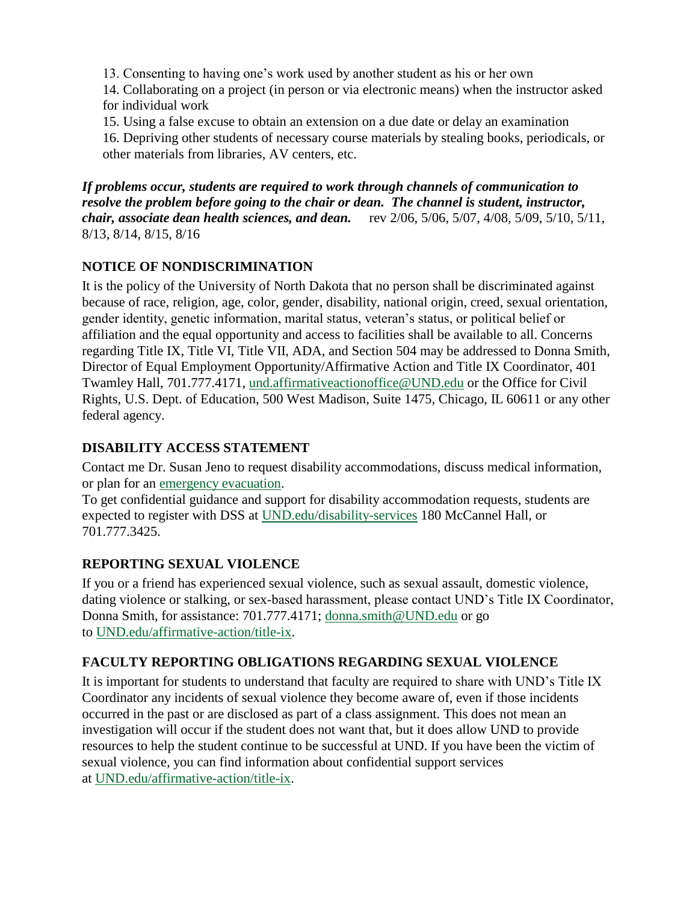13. Consenting to having one's work used by another student as his or her own

14. Collaborating on a project (in person or via electronic means) when the instructor asked for individual work

15. Using a false excuse to obtain an extension on a due date or delay an examination

16. Depriving other students of necessary course materials by stealing books, periodicals, or other materials from libraries, AV centers, etc.

*If problems occur, students are required to work through channels of communication to resolve the problem before going to the chair or dean. The channel is student, instructor, chair, associate dean health sciences, and dean.* rev 2/06, 5/06, 5/07, 4/08, 5/09, 5/10, 5/11, 8/13, 8/14, 8/15, 8/16

# **NOTICE OF NONDISCRIMINATION**

It is the policy of the University of North Dakota that no person shall be discriminated against because of race, religion, age, color, gender, disability, national origin, creed, sexual orientation, gender identity, genetic information, marital status, veteran's status, or political belief or affiliation and the equal opportunity and access to facilities shall be available to all. Concerns regarding Title IX, Title VI, Title VII, ADA, and Section 504 may be addressed to Donna Smith, Director of Equal Employment Opportunity/Affirmative Action and Title IX Coordinator, 401 Twamley Hall, 701.777.4171, [und.affirmativeactionoffice@UND.edu](mailto:und.affirmativeactionoffice@UND.edu) or the Office for Civil Rights, U.S. Dept. of Education, 500 West Madison, Suite 1475, Chicago, IL 60611 or any other federal agency.

# **DISABILITY ACCESS STATEMENT**

Contact me Dr. Susan Jeno to request disability accommodations, discuss medical information, or plan for an [emergency evacuation.](https://und.edu/_development/_migration-wave4/public-safety/public-safety/fire-safety.html)

To get confidential guidance and support for disability accommodation requests, students are expected to register with DSS at [UND.edu/disability-services](https://und.edu/student-life/disability-services/index.html) 180 McCannel Hall, or 701.777.3425.

# **REPORTING SEXUAL VIOLENCE**

If you or a friend has experienced sexual violence, such as sexual assault, domestic violence, dating violence or stalking, or sex-based harassment, please contact UND's Title IX Coordinator, Donna Smith, for assistance: 701.777.4171; [donna.smith@UND.edu](mailto:donna.smith@UND.edu) or go to [UND.edu/affirmative-action/title-ix.](https://und.edu/_development/_migration-wave4/affirmative-action/title-ix/index.html)

# **FACULTY REPORTING OBLIGATIONS REGARDING SEXUAL VIOLENCE**

It is important for students to understand that faculty are required to share with UND's Title IX Coordinator any incidents of sexual violence they become aware of, even if those incidents occurred in the past or are disclosed as part of a class assignment. This does not mean an investigation will occur if the student does not want that, but it does allow UND to provide resources to help the student continue to be successful at UND. If you have been the victim of sexual violence, you can find information about confidential support services at [UND.edu/affirmative-action/title-ix.](https://und.edu/_development/_migration-wave4/affirmative-action/title-ix/index.html)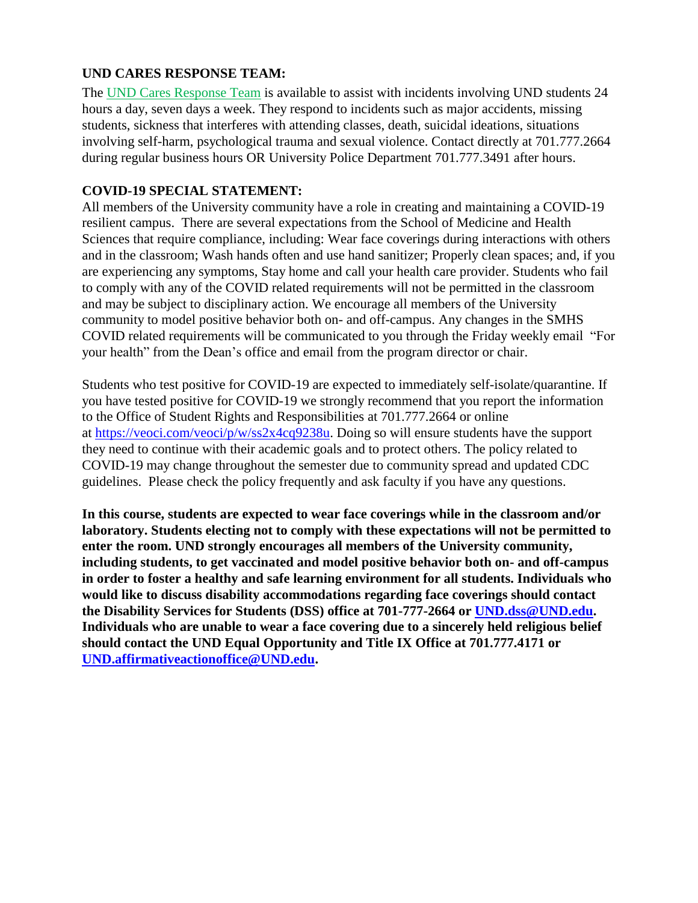### **UND CARES RESPONSE TEAM:**

The [UND Cares Response Team](http://und.edu/student-affairs/student-rights-responsibilities/care-team.cfm) is available to assist with incidents involving UND students 24 hours a day, seven days a week. They respond to incidents such as major accidents, missing students, sickness that interferes with attending classes, death, suicidal ideations, situations involving self-harm, psychological trauma and sexual violence. Contact directly at 701.777.2664 during regular business hours OR University Police Department 701.777.3491 after hours.

## **COVID-19 SPECIAL STATEMENT:**

All members of the University community have a role in creating and maintaining a COVID-19 resilient campus. There are several expectations from the School of Medicine and Health Sciences that require compliance, including: Wear face coverings during interactions with others and in the classroom; Wash hands often and use hand sanitizer; Properly clean spaces; and, if you are experiencing any symptoms, Stay home and call your health care provider. Students who fail to comply with any of the COVID related requirements will not be permitted in the classroom and may be subject to disciplinary action. We encourage all members of the University community to model positive behavior both on- and off-campus. Any changes in the SMHS COVID related requirements will be communicated to you through the Friday weekly email "For your health" from the Dean's office and email from the program director or chair.

Students who test positive for COVID-19 are expected to immediately self-isolate/quarantine. If you have tested positive for COVID-19 we strongly recommend that you report the information to the Office of Student Rights and Responsibilities at 701.777.2664 or online at [https://veoci.com/veoci/p/w/ss2x4cq9238u.](https://veoci.com/veoci/p/w/ss2x4cq9238u) Doing so will ensure students have the support they need to continue with their academic goals and to protect others. The policy related to COVID-19 may change throughout the semester due to community spread and updated CDC guidelines. Please check the policy frequently and ask faculty if you have any questions.

**In this course, students are expected to wear face coverings while in the classroom and/or laboratory. Students electing not to comply with these expectations will not be permitted to enter the room. UND strongly encourages all members of the University community, including students, to get vaccinated and model positive behavior both on- and off-campus in order to foster a healthy and safe learning environment for all students. Individuals who would like to discuss disability accommodations regarding face coverings should contact the Disability Services for Students (DSS) office at 701-777-2664 or [UND.dss@UND.edu.](mailto:UND.dss@UND.edu) Individuals who are unable to wear a face covering due to a sincerely held religious belief should contact the UND Equal Opportunity and Title IX Office at 701.777.4171 or [UND.affirmativeactionoffice@UND.edu.](mailto:UND.affirmativeactionoffice@UND.edu)**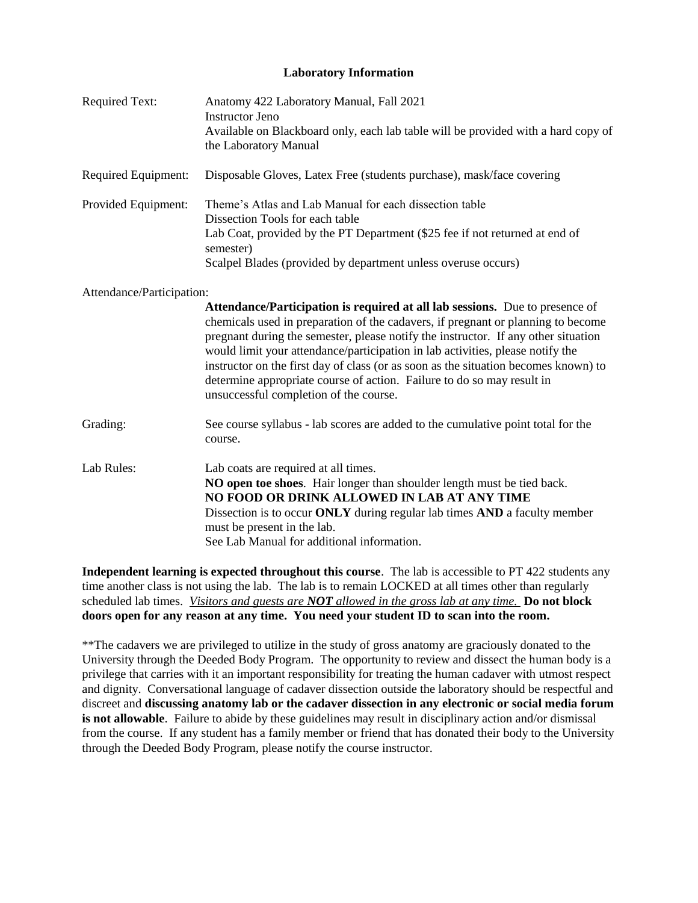#### **Laboratory Information**

| <b>Required Text:</b>     | Anatomy 422 Laboratory Manual, Fall 2021<br><b>Instructor Jeno</b><br>Available on Blackboard only, each lab table will be provided with a hard copy of<br>the Laboratory Manual                                                                                                                                                                                                                                                                                                                                                                    |
|---------------------------|-----------------------------------------------------------------------------------------------------------------------------------------------------------------------------------------------------------------------------------------------------------------------------------------------------------------------------------------------------------------------------------------------------------------------------------------------------------------------------------------------------------------------------------------------------|
| Required Equipment:       | Disposable Gloves, Latex Free (students purchase), mask/face covering                                                                                                                                                                                                                                                                                                                                                                                                                                                                               |
| Provided Equipment:       | Theme's Atlas and Lab Manual for each dissection table<br>Dissection Tools for each table<br>Lab Coat, provided by the PT Department (\$25 fee if not returned at end of<br>semester)<br>Scalpel Blades (provided by department unless overuse occurs)                                                                                                                                                                                                                                                                                              |
| Attendance/Participation: | Attendance/Participation is required at all lab sessions. Due to presence of<br>chemicals used in preparation of the cadavers, if pregnant or planning to become<br>pregnant during the semester, please notify the instructor. If any other situation<br>would limit your attendance/participation in lab activities, please notify the<br>instructor on the first day of class (or as soon as the situation becomes known) to<br>determine appropriate course of action. Failure to do so may result in<br>unsuccessful completion of the course. |
| Grading:                  | See course syllabus - lab scores are added to the cumulative point total for the<br>course.                                                                                                                                                                                                                                                                                                                                                                                                                                                         |
| Lab Rules:                | Lab coats are required at all times.<br>NO open toe shoes. Hair longer than shoulder length must be tied back.<br>NO FOOD OR DRINK ALLOWED IN LAB AT ANY TIME<br>Dissection is to occur ONLY during regular lab times AND a faculty member<br>must be present in the lab.<br>See Lab Manual for additional information.                                                                                                                                                                                                                             |

**Independent learning is expected throughout this course**. The lab is accessible to PT 422 students any time another class is not using the lab. The lab is to remain LOCKED at all times other than regularly scheduled lab times. *Visitors and guests are NOT allowed in the gross lab at any time.* **Do not block doors open for any reason at any time. You need your student ID to scan into the room.**

\*\*The cadavers we are privileged to utilize in the study of gross anatomy are graciously donated to the University through the Deeded Body Program. The opportunity to review and dissect the human body is a privilege that carries with it an important responsibility for treating the human cadaver with utmost respect and dignity. Conversational language of cadaver dissection outside the laboratory should be respectful and discreet and **discussing anatomy lab or the cadaver dissection in any electronic or social media forum is not allowable**. Failure to abide by these guidelines may result in disciplinary action and/or dismissal from the course. If any student has a family member or friend that has donated their body to the University through the Deeded Body Program, please notify the course instructor.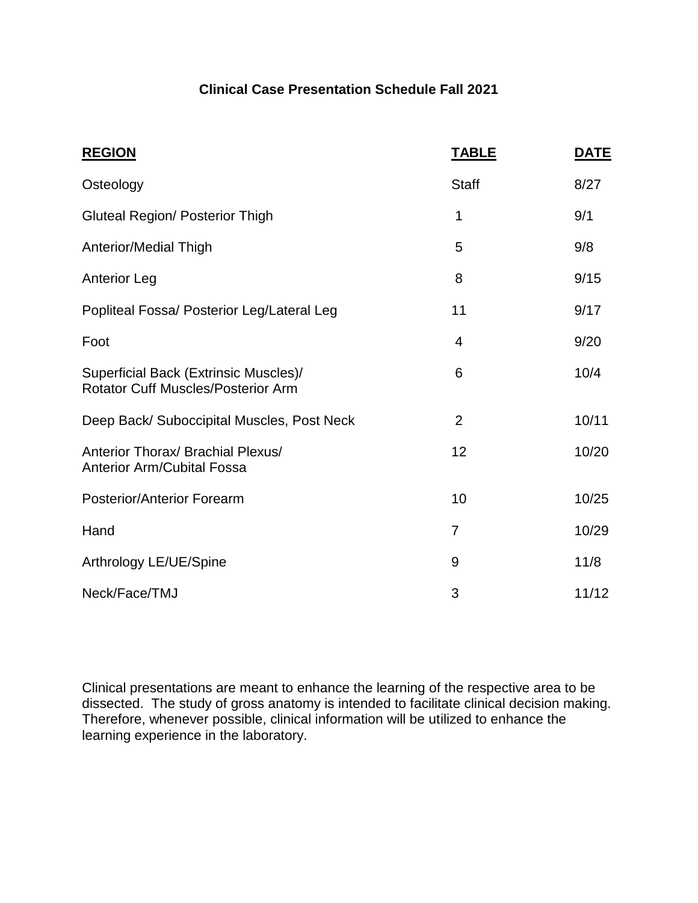# **Clinical Case Presentation Schedule Fall 2021**

| <b>REGION</b>                                                                      | <b>TABLE</b>   | <b>DATE</b> |
|------------------------------------------------------------------------------------|----------------|-------------|
| Osteology                                                                          | <b>Staff</b>   | 8/27        |
| <b>Gluteal Region/ Posterior Thigh</b>                                             | 1              | 9/1         |
| Anterior/Medial Thigh                                                              | 5              | 9/8         |
| <b>Anterior Leg</b>                                                                | 8              | 9/15        |
| Popliteal Fossa/ Posterior Leg/Lateral Leg                                         | 11             | 9/17        |
| Foot                                                                               | 4              | 9/20        |
| Superficial Back (Extrinsic Muscles)/<br><b>Rotator Cuff Muscles/Posterior Arm</b> | 6              | 10/4        |
| Deep Back/ Suboccipital Muscles, Post Neck                                         | $\overline{2}$ | 10/11       |
| Anterior Thorax/ Brachial Plexus/<br><b>Anterior Arm/Cubital Fossa</b>             | 12             | 10/20       |
| <b>Posterior/Anterior Forearm</b>                                                  | 10             | 10/25       |
| Hand                                                                               | $\overline{7}$ | 10/29       |
| Arthrology LE/UE/Spine                                                             | 9              | 11/8        |
| Neck/Face/TMJ                                                                      | 3              | 11/12       |

Clinical presentations are meant to enhance the learning of the respective area to be dissected. The study of gross anatomy is intended to facilitate clinical decision making. Therefore, whenever possible, clinical information will be utilized to enhance the learning experience in the laboratory.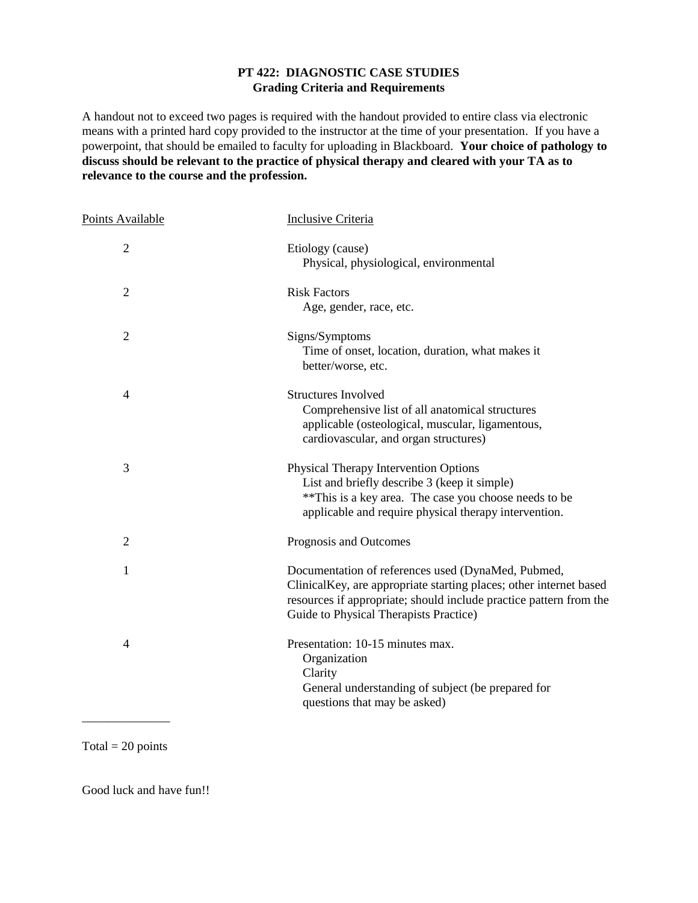#### **PT 422: DIAGNOSTIC CASE STUDIES Grading Criteria and Requirements**

A handout not to exceed two pages is required with the handout provided to entire class via electronic means with a printed hard copy provided to the instructor at the time of your presentation. If you have a powerpoint, that should be emailed to faculty for uploading in Blackboard. **Your choice of pathology to discuss should be relevant to the practice of physical therapy and cleared with your TA as to relevance to the course and the profession.**

| Points Available | Inclusive Criteria                                                                                                                                                                                                                       |
|------------------|------------------------------------------------------------------------------------------------------------------------------------------------------------------------------------------------------------------------------------------|
| $\overline{2}$   | Etiology (cause)<br>Physical, physiological, environmental                                                                                                                                                                               |
| $\overline{2}$   | <b>Risk Factors</b><br>Age, gender, race, etc.                                                                                                                                                                                           |
| $\overline{2}$   | Signs/Symptoms<br>Time of onset, location, duration, what makes it<br>better/worse, etc.                                                                                                                                                 |
| 4                | <b>Structures Involved</b><br>Comprehensive list of all anatomical structures<br>applicable (osteological, muscular, ligamentous,<br>cardiovascular, and organ structures)                                                               |
| 3                | <b>Physical Therapy Intervention Options</b><br>List and briefly describe 3 (keep it simple)<br>** This is a key area. The case you choose needs to be<br>applicable and require physical therapy intervention.                          |
| $\overline{2}$   | Prognosis and Outcomes                                                                                                                                                                                                                   |
| 1                | Documentation of references used (DynaMed, Pubmed,<br>ClinicalKey, are appropriate starting places; other internet based<br>resources if appropriate; should include practice pattern from the<br>Guide to Physical Therapists Practice) |
| 4                | Presentation: 10-15 minutes max.<br>Organization<br>Clarity<br>General understanding of subject (be prepared for<br>questions that may be asked)                                                                                         |

#### Total  $= 20$  points

Good luck and have fun!!